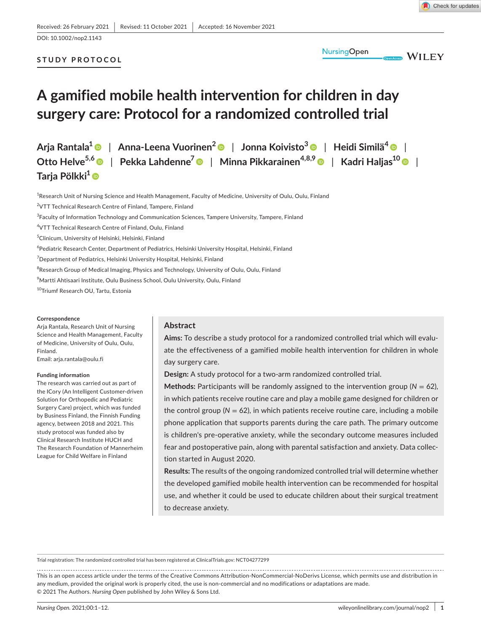# DOI: 10.1002/nop2.1143

## **STUDY PROTOCOL**



**WILEY** 

# **A gamified mobile health intervention for children in day surgery care: Protocol for a randomized controlled trial**

**Arja Rantala[1](https://orcid.org/0000-0003-0610-2107)** | **Anna-Leena Vuorinen[2](https://orcid.org/0000-0002-5658-1305)** | **Jonna Koivisto<sup>3</sup>** | **Heidi Similä[4](https://orcid.org/0000-0003-0241-1957)** | **Otto Helve5,[6](https://orcid.org/0000-0001-6254-3180)** | **Pekka Lahdenne7** | **Minna Pikkarainen4,8,9** | **Kadri Haljas10** | **Tarja Pölkki[1](https://orcid.org/0000-0002-8301-9537)**

<sup>1</sup>Research Unit of Nursing Science and Health Management, Faculty of Medicine, University of Oulu, Oulu, Finland <sup>2</sup>VTT Technical Research Centre of Finland, Tampere, Finland  $^3$ Faculty of Information Technology and Communication Sciences, Tampere University, Tampere, Finland 4 VTT Technical Research Centre of Finland, Oulu, Finland 5 Clinicum, University of Helsinki, Helsinki, Finland 6 Pediatric Research Center, Department of Pediatrics, Helsinki University Hospital, Helsinki, Finland  ${\rm ^7}$ Department of Pediatrics, Helsinki University Hospital, Helsinki, Finland  $^8$ Research Group of Medical Imaging, Physics and Technology, University of Oulu, Oulu, Finland 9 Martti Ahtisaari Institute, Oulu Business School, Oulu University, Oulu, Finland 10Triumf Research OU, Tartu, Estonia

#### **Correspondence**

Arja Rantala, Research Unit of Nursing Science and Health Management, Faculty of Medicine, University of Oulu, Oulu, Finland.

Email: [arja.rantala@oulu.fi](mailto:arja.rantala@oulu.fi)

#### **Funding information**

The research was carried out as part of the ICory (An Intelligent Customer-driven Solution for Orthopedic and Pediatric Surgery Care) project, which was funded by Business Finland, the Finnish Funding agency, between 2018 and 2021. This study protocol was funded also by Clinical Research Institute HUCH and The Research Foundation of Mannerheim League for Child Welfare in Finland

## **Abstract**

**Aims:** To describe a study protocol for a randomized controlled trial which will evaluate the effectiveness of a gamified mobile health intervention for children in whole day surgery care.

**Design:** A study protocol for a two-arm randomized controlled trial.

**Methods:** Participants will be randomly assigned to the intervention group ( $N = 62$ ), in which patients receive routine care and play a mobile game designed for children or the control group ( $N = 62$ ), in which patients receive routine care, including a mobile phone application that supports parents during the care path. The primary outcome is children's pre-operative anxiety, while the secondary outcome measures included fear and postoperative pain, along with parental satisfaction and anxiety. Data collection started in August 2020.

**Results:** The results of the ongoing randomized controlled trial will determine whether the developed gamified mobile health intervention can be recommended for hospital use, and whether it could be used to educate children about their surgical treatment to decrease anxiety.

Trial registration: The randomized controlled trial has been registered at ClinicalTrials.gov: NCT04277299

This is an open access article under the terms of the [Creative Commons Attribution-NonCommercial-NoDerivs](http://creativecommons.org/licenses/by-nc-nd/4.0/) License, which permits use and distribution in any medium, provided the original work is properly cited, the use is non-commercial and no modifications or adaptations are made. © 2021 The Authors. *Nursing Open* published by John Wiley & Sons Ltd.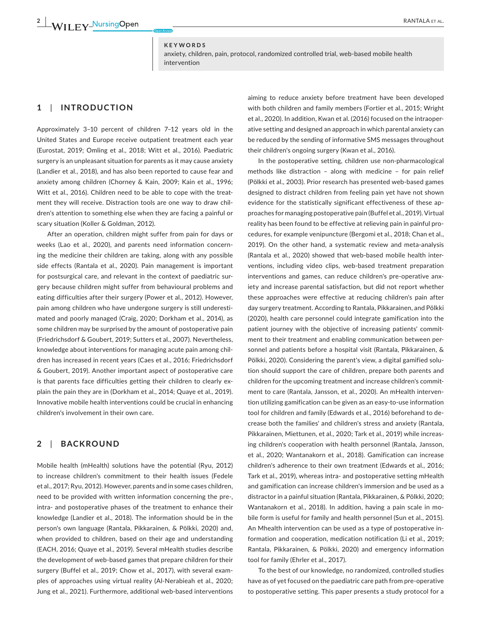#### **KEYWORDS**

anxiety, children, pain, protocol, randomized controlled trial, web-based mobile health intervention

## **1**  | **INTRODUCTION**

Approximately 3–10 percent of children 7–12 years old in the United States and Europe receive outpatient treatment each year (Eurostat, 2019; Omling et al., 2018; Witt et al., 2016). Paediatric surgery is an unpleasant situation for parents as it may cause anxiety (Landier et al., 2018), and has also been reported to cause fear and anxiety among children (Chorney & Kain, 2009; Kain et al., 1996; Witt et al., 2016). Children need to be able to cope with the treatment they will receive. Distraction tools are one way to draw children's attention to something else when they are facing a painful or scary situation (Koller & Goldman, 2012).

After an operation, children might suffer from pain for days or weeks (Lao et al., 2020), and parents need information concerning the medicine their children are taking, along with any possible side effects (Rantala et al., 2020). Pain management is important for postsurgical care, and relevant in the context of paediatric surgery because children might suffer from behavioural problems and eating difficulties after their surgery (Power et al., 2012). However, pain among children who have undergone surgery is still underestimated and poorly managed (Craig, 2020; Dorkham et al., 2014), as some children may be surprised by the amount of postoperative pain (Friedrichsdorf & Goubert, 2019; Sutters et al., 2007). Nevertheless, knowledge about interventions for managing acute pain among children has increased in recent years (Caes et al., 2016; Friedrichsdorf & Goubert, 2019). Another important aspect of postoperative care is that parents face difficulties getting their children to clearly explain the pain they are in (Dorkham et al., 2014; Quaye et al., 2019). Innovative mobile health interventions could be crucial in enhancing children's involvement in their own care.

#### **2**  | **BACKROUND**

Mobile health (mHealth) solutions have the potential (Ryu, 2012) to increase children's commitment to their health issues (Fedele et al., 2017; Ryu, 2012). However, parents and in some cases children, need to be provided with written information concerning the pre-, intra- and postoperative phases of the treatment to enhance their knowledge (Landier et al., 2018). The information should be in the person's own language (Rantala, Pikkarainen, & Pölkki, 2020) and, when provided to children, based on their age and understanding (EACH, 2016; Quaye et al., 2019). Several mHealth studies describe the development of web-based games that prepare children for their surgery (Buffel et al., 2019; Chow et al., 2017), with several examples of approaches using virtual reality (Al-Nerabieah et al., 2020; Jung et al., 2021). Furthermore, additional web-based interventions

aiming to reduce anxiety before treatment have been developed with both children and family members (Fortier et al., 2015; Wright et al., 2020). In addition, Kwan et al. (2016) focused on the intraoperative setting and designed an approach in which parental anxiety can be reduced by the sending of informative SMS messages throughout their children's ongoing surgery (Kwan et al., 2016).

In the postoperative setting, children use non-pharmacological methods like distraction – along with medicine – for pain relief (Pölkki et al., 2003). Prior research has presented web-based games designed to distract children from feeling pain yet have not shown evidence for the statistically significant effectiveness of these approaches for managing postoperative pain (Buffel et al., 2019). Virtual reality has been found to be effective at relieving pain in painful procedures, for example venipuncture (Bergomi et al., 2018; Chan et al., 2019). On the other hand, a systematic review and meta-analysis (Rantala et al., 2020) showed that web-based mobile health interventions, including video clips, web-based treatment preparation interventions and games, can reduce children's pre-operative anxiety and increase parental satisfaction, but did not report whether these approaches were effective at reducing children's pain after day surgery treatment. According to Rantala, Pikkarainen, and Pölkki (2020), health care personnel could integrate gamification into the patient journey with the objective of increasing patients' commitment to their treatment and enabling communication between personnel and patients before a hospital visit (Rantala, Pikkarainen, & Pölkki, 2020). Considering the parent's view, a digital gamified solution should support the care of children, prepare both parents and children for the upcoming treatment and increase children's commitment to care (Rantala, Jansson, et al., 2020). An mHealth intervention utilizing gamification can be given as an easy-to-use information tool for children and family (Edwards et al., 2016) beforehand to decrease both the families' and children's stress and anxiety (Rantala, Pikkarainen, Miettunen, et al., 2020; Tark et al., 2019) while increasing children's cooperation with health personnel (Rantala, Jansson, et al., 2020; Wantanakorn et al., 2018). Gamification can increase children's adherence to their own treatment (Edwards et al., 2016; Tark et al., 2019), whereas intra- and postoperative setting mHealth and gamification can increase children's immersion and be used as a distractor in a painful situation (Rantala, Pikkarainen, & Pölkki, 2020; Wantanakorn et al., 2018). In addition, having a pain scale in mobile form is useful for family and health personnel (Sun et al., 2015). An Mhealth intervention can be used as a type of postoperative information and cooperation, medication notification (Li et al., 2019; Rantala, Pikkarainen, & Pölkki, 2020) and emergency information tool for family (Ehrler et al., 2017).

To the best of our knowledge, no randomized, controlled studies have as of yet focused on the paediatric care path from pre-operative to postoperative setting. This paper presents a study protocol for a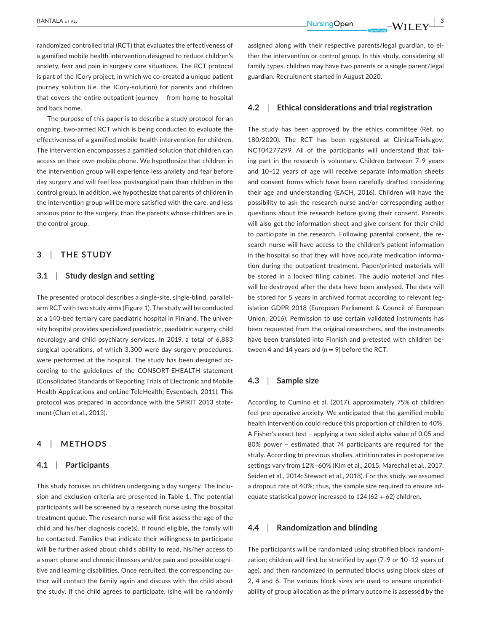randomized controlled trial (RCT) that evaluates the effectiveness of a gamified mobile health intervention designed to reduce children's anxiety, fear and pain in surgery care situations. The RCT protocol is part of the ICory project, in which we co-created a unique patient journey solution (i.e. the ICory-solution) for parents and children that covers the entire outpatient journey – from home to hospital and back home.

The purpose of this paper is to describe a study protocol for an ongoing, two-armed RCT which is being conducted to evaluate the effectiveness of a gamified mobile health intervention for children. The intervention encompasses a gamified solution that children can access on their own mobile phone. We hypothesize that children in the intervention group will experience less anxiety and fear before day surgery and will feel less postsurgical pain than children in the control group. In addition, we hypothesize that parents of children in the intervention group will be more satisfied with the care, and less anxious prior to the surgery, than the parents whose children are in the control group.

## **3**  | **THE STUDY**

## **3.1**  | **Study design and setting**

The presented protocol describes a single-site, single-blind, parallelarm RCT with two study arms (Figure 1). The study will be conducted at a 140-bed tertiary care paediatric hospital in Finland. The university hospital provides specialized paediatric, paediatric surgery, child neurology and child psychiatry services. In 2019, a total of 6,883 surgical operations, of which 3,300 were day surgery procedures, were performed at the hospital. The study has been designed according to the guidelines of the CONSORT-EHEALTH statement (Consolidated Standards of Reporting Trials of Electronic and Mobile Health Applications and onLine TeleHealth; Eysenbach, 2011). This protocol was prepared in accordance with the SPIRIT 2013 statement (Chan et al., 2013).

#### **4**  | **METHODS**

#### **4.1**  | **Participants**

This study focuses on children undergoing a day surgery. The inclusion and exclusion criteria are presented in Table 1. The potential participants will be screened by a research nurse using the hospital treatment queue. The research nurse will first assess the age of the child and his/her diagnosis code(s). If found eligible, the family will be contacted. Families that indicate their willingness to participate will be further asked about child's ability to read, his/her access to a smart phone and chronic illnesses and/or pain and possible cognitive and learning disabilities. Once recruited, the corresponding author will contact the family again and discuss with the child about the study. If the child agrees to participate, (s)he will be randomly

assigned along with their respective parents/legal guardian, to either the intervention or control group. In this study, considering all family types, children may have two parents or a single parent/legal guardian. Recruitment started in August 2020.

#### **4.2**  | **Ethical considerations and trial registration**

The study has been approved by the ethics committee (Ref. no 180/2020). The RCT has been registered at ClinicalTrials.gov: NCT04277299. All of the participants will understand that taking part in the research is voluntary. Children between 7–9 years and 10–12 years of age will receive separate information sheets and consent forms which have been carefully drafted considering their age and understanding (EACH, 2016). Children will have the possibility to ask the research nurse and/or corresponding author questions about the research before giving their consent. Parents will also get the information sheet and give consent for their child to participate in the research. Following parental consent, the research nurse will have access to the children's patient information in the hospital so that they will have accurate medication information during the outpatient treatment. Paper/printed materials will be stored in a locked filing cabinet. The audio material and files will be destroyed after the data have been analysed. The data will be stored for 5 years in archived format according to relevant legislation GDPR 2018 (European Parliament & Council of European Union, 2016). Permission to use certain validated instruments has been requested from the original researchers, and the instruments have been translated into Finnish and pretested with children between 4 and 14 years old  $(n = 9)$  before the RCT.

#### **4.3**  | **Sample size**

According to Cumino et al. (2017), approximately 75% of children feel pre-operative anxiety. We anticipated that the gamified mobile health intervention could reduce this proportion of children to 40%. A Fisher's exact test – applying a two-sided alpha value of 0.05 and 80% power – estimated that 74 participants are required for the study. According to previous studies, attrition rates in postoperative settings vary from 12%–60% (Kim et al., 2015; Marechal et al., 2017; Seiden et al., 2014; Stewart et al., 2018). For this study, we assumed a dropout rate of 40%; thus, the sample size required to ensure adequate statistical power increased to  $124 (62 + 62)$  children.

#### **4.4**  | **Randomization and blinding**

The participants will be randomized using stratified block randomization; children will first be stratified by age (7–9 or 10–12 years of age), and then randomized in permuted blocks using block sizes of 2, 4 and 6. The various block sizes are used to ensure unpredictability of group allocation as the primary outcome is assessed by the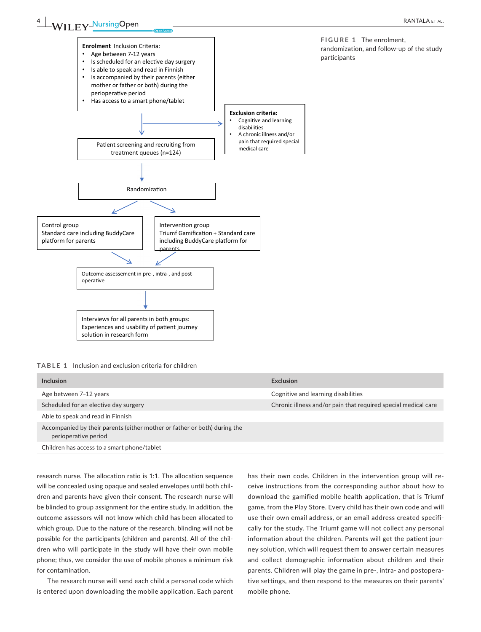**FIGURE 1** The enrolment,

participants

randomization, and follow-up of the study



**TABLE 1** Inclusion and exclusion criteria for children

| Inclusion                                                                                         | Exclusion                                                      |
|---------------------------------------------------------------------------------------------------|----------------------------------------------------------------|
| Age between 7-12 years                                                                            | Cognitive and learning disabilities                            |
| Scheduled for an elective day surgery                                                             | Chronic illness and/or pain that required special medical care |
| Able to speak and read in Finnish                                                                 |                                                                |
| Accompanied by their parents (either mother or father or both) during the<br>perioperative period |                                                                |
| Children has access to a smart phone/tablet                                                       |                                                                |

research nurse. The allocation ratio is 1:1. The allocation sequence will be concealed using opaque and sealed envelopes until both children and parents have given their consent. The research nurse will be blinded to group assignment for the entire study. In addition, the outcome assessors will not know which child has been allocated to which group. Due to the nature of the research, blinding will not be possible for the participants (children and parents). All of the children who will participate in the study will have their own mobile phone; thus, we consider the use of mobile phones a minimum risk for contamination.

The research nurse will send each child a personal code which is entered upon downloading the mobile application. Each parent

has their own code. Children in the intervention group will receive instructions from the corresponding author about how to download the gamified mobile health application, that is Triumf game, from the Play Store. Every child has their own code and will use their own email address, or an email address created specifically for the study. The Triumf game will not collect any personal information about the children. Parents will get the patient journey solution, which will request them to answer certain measures and collect demographic information about children and their parents. Children will play the game in pre-, intra- and postoperative settings, and then respond to the measures on their parents' mobile phone.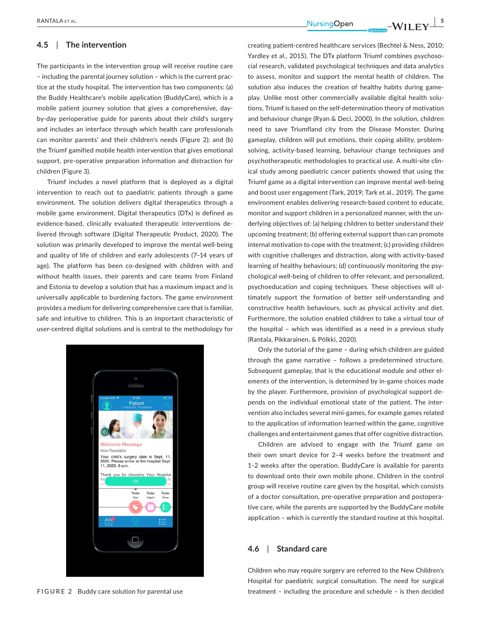#### **4.5**  | **The intervention**

The participants in the intervention group will receive routine care – including the parental journey solution – which is the current practice at the study hospital. The intervention has two components: (a) the Buddy Healthcare's mobile application (BuddyCare), which is a mobile patient journey solution that gives a comprehensive, dayby-day perioperative guide for parents about their child's surgery and includes an interface through which health care professionals can monitor parents' and their children's needs (Figure 2); and (b) the Triumf gamified mobile health intervention that gives emotional support, pre-operative preparation information and distraction for children (Figure 3).

Triumf includes a novel platform that is deployed as a digital intervention to reach out to paediatric patients through a game environment. The solution delivers digital therapeutics through a mobile game environment. Digital therapeutics (DTx) is defined as evidence-based, clinically evaluated therapeutic interventions delivered through software (Digital Therapeutic Product, 2020). The solution was primarily developed to improve the mental well-being and quality of life of children and early adolescents (7–14 years of age). The platform has been co-designed with children with and without health issues, their parents and care teams from Finland and Estonia to develop a solution that has a maximum impact and is universally applicable to burdening factors. The game environment provides a medium for delivering comprehensive care that is familiar, safe and intuitive to children. This is an important characteristic of user-centred digital solutions and is central to the methodology for



 RANTALA et al. **<sup>|</sup> 5**

creating patient-centred healthcare services (Bechtel & Ness, 2010; Yardley et al., 2015). The DTx platform Triumf combines psychosocial research, validated psychological techniques and data analytics to assess, monitor and support the mental health of children. The solution also induces the creation of healthy habits during gameplay. Unlike most other commercially available digital health solutions, Triumf is based on the self-determination theory of motivation and behaviour change (Ryan & Deci, 2000). In the solution, children need to save Triumfland city from the Disease Monster. During gameplay, children will put emotions, their coping ability, problemsolving, activity-based learning, behaviour change techniques and psychotherapeutic methodologies to practical use. A multi-site clinical study among paediatric cancer patients showed that using the Triumf game as a digital intervention can improve mental well-being and boost user engagement (Tark, 2019; Tark et al., 2019). The game environment enables delivering research-based content to educate, monitor and support children in a personalized manner, with the underlying objectives of: (a) helping children to better understand their upcoming treatment; (b) offering external support than can promote internal motivation to cope with the treatment; (c) providing children with cognitive challenges and distraction, along with activity-based learning of healthy behaviours; (d) continuously monitoring the psychological well-being of children to offer relevant, and personalized, psychoeducation and coping techniques. These objectives will ultimately support the formation of better self-understanding and constructive health behaviours, such as physical activity and diet. Furthermore, the solution enabled children to take a virtual tour of the hospital – which was identified as a need in a previous study (Rantala, Pikkarainen, & Pölkki, 2020).

Only the tutorial of the game – during which children are guided through the game narrative – follows a predetermined structure. Subsequent gameplay, that is the educational module and other elements of the intervention, is determined by in-game choices made by the player. Furthermore, provision of psychological support depends on the individual emotional state of the patient. The intervention also includes several mini-games, for example games related to the application of information learned within the game, cognitive challenges and entertainment games that offer cognitive distraction.

Children are advised to engage with the Triumf game on their own smart device for 2–4 weeks before the treatment and 1–2 weeks after the operation. BuddyCare is available for parents to download onto their own mobile phone. Children in the control group will receive routine care given by the hospital, which consists of a doctor consultation, pre-operative preparation and postoperative care, while the parents are supported by the BuddyCare mobile application – which is currently the standard routine at this hospital.

#### **4.6**  | **Standard care**

Children who may require surgery are referred to the New Children's Hospital for paediatric surgical consultation. The need for surgical FIGURE 2 Buddy care solution for parental use treatment – including the procedure and schedule – is then decided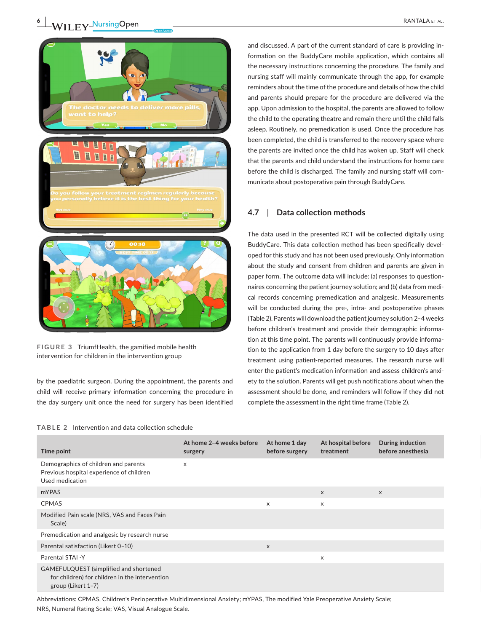



**FIGURE 3** TriumfHealth, the gamified mobile health intervention for children in the intervention group

by the paediatric surgeon. During the appointment, the parents and child will receive primary information concerning the procedure in the day surgery unit once the need for surgery has been identified

#### **TABLE 2** Intervention and data collection schedule

and discussed. A part of the current standard of care is providing information on the BuddyCare mobile application, which contains all the necessary instructions concerning the procedure. The family and nursing staff will mainly communicate through the app, for example reminders about the time of the procedure and details of how the child and parents should prepare for the procedure are delivered via the app. Upon admission to the hospital, the parents are allowed to follow the child to the operating theatre and remain there until the child falls asleep. Routinely, no premedication is used. Once the procedure has been completed, the child is transferred to the recovery space where the parents are invited once the child has woken up. Staff will check that the parents and child understand the instructions for home care before the child is discharged. The family and nursing staff will communicate about postoperative pain through BuddyCare.

## **4.7**  | **Data collection methods**

The data used in the presented RCT will be collected digitally using BuddyCare. This data collection method has been specifically developed for this study and has not been used previously. Only information about the study and consent from children and parents are given in paper form. The outcome data will include: (a) responses to questionnaires concerning the patient journey solution; and (b) data from medical records concerning premedication and analgesic. Measurements will be conducted during the pre-, intra- and postoperative phases (Table 2). Parents will download the patient journey solution 2–4 weeks before children's treatment and provide their demographic information at this time point. The parents will continuously provide information to the application from 1 day before the surgery to 10 days after treatment using patient-reported measures. The research nurse will enter the patient's medication information and assess children's anxiety to the solution. Parents will get push notifications about when the assessment should be done, and reminders will follow if they did not complete the assessment in the right time frame (Table 2).

| Time point                                                                                                     | At home 2-4 weeks before<br>surgery | At home 1 day<br>before surgery | At hospital before<br>treatment | <b>During induction</b><br>before anesthesia |
|----------------------------------------------------------------------------------------------------------------|-------------------------------------|---------------------------------|---------------------------------|----------------------------------------------|
| Demographics of children and parents<br>Previous hospital experience of children<br>Used medication            | $\boldsymbol{\mathsf{X}}$           |                                 |                                 |                                              |
| mYPAS                                                                                                          |                                     |                                 | $\mathsf{X}$                    | $\mathsf{X}$                                 |
| CPMAS                                                                                                          |                                     | $\boldsymbol{\mathsf{x}}$       | X                               |                                              |
| Modified Pain scale (NRS, VAS and Faces Pain<br>Scale)                                                         |                                     |                                 |                                 |                                              |
| Premedication and analgesic by research nurse                                                                  |                                     |                                 |                                 |                                              |
| Parental satisfaction (Likert 0-10)                                                                            |                                     | $\times$                        |                                 |                                              |
| Parental STAI -Y                                                                                               |                                     |                                 | X                               |                                              |
| GAMEFULQUEST (simplified and shortened<br>for children) for children in the intervention<br>group (Likert 1–7) |                                     |                                 |                                 |                                              |

Abbreviations: CPMAS, Children's Perioperative Multidimensional Anxiety; mYPAS, The modified Yale Preoperative Anxiety Scale; NRS, Numeral Rating Scale; VAS, Visual Analogue Scale.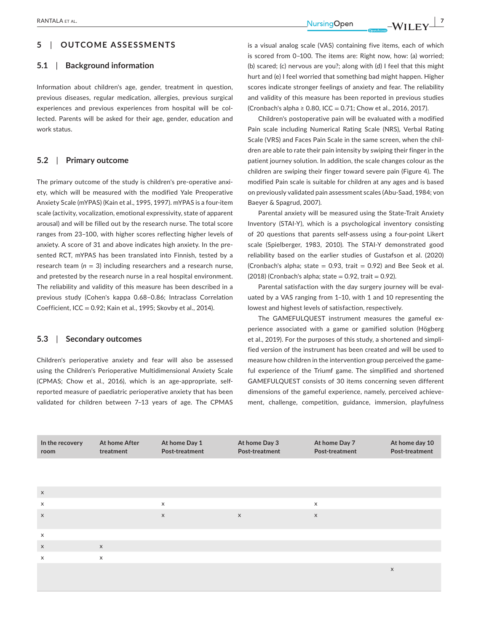RANTALA et al. **<sup>|</sup> 7**

## **5**  | **OUTCOME ASSESSMENTS**

#### **5.1**  | **Background information**

Information about children's age, gender, treatment in question, previous diseases, regular medication, allergies, previous surgical experiences and previous experiences from hospital will be collected. Parents will be asked for their age, gender, education and work status.

## **5.2**  | **Primary outcome**

The primary outcome of the study is children's pre-operative anxiety, which will be measured with the modified Yale Preoperative Anxiety Scale (mYPAS) (Kain et al., 1995, 1997). mYPAS is a four-item scale (activity, vocalization, emotional expressivity, state of apparent arousal) and will be filled out by the research nurse. The total score ranges from 23–100, with higher scores reflecting higher levels of anxiety. A score of 31 and above indicates high anxiety. In the presented RCT, mYPAS has been translated into Finnish, tested by a research team  $(n = 3)$  including researchers and a research nurse, and pretested by the research nurse in a real hospital environment. The reliability and validity of this measure has been described in a previous study (Cohen's kappa 0.68–0.86; Intraclass Correlation Coefficient, ICC = 0.92; Kain et al., 1995; Skovby et al., 2014).

#### **5.3**  | **Secondary outcomes**

Children's perioperative anxiety and fear will also be assessed using the Children's Perioperative Multidimensional Anxiety Scale (CPMAS; Chow et al., 2016), which is an age-appropriate, selfreported measure of paediatric perioperative anxiety that has been validated for children between 7–13 years of age. The CPMAS

is a visual analog scale (VAS) containing five items, each of which is scored from 0–100. The items are: Right now, how: (a) worried; (b) scared; (c) nervous are you?; along with (d) I feel that this might hurt and (e) I feel worried that something bad might happen. Higher scores indicate stronger feelings of anxiety and fear. The reliability and validity of this measure has been reported in previous studies (Cronbach's alpha ≥ 0.80, ICC = 0.71; Chow et al., 2016, 2017).

Children's postoperative pain will be evaluated with a modified Pain scale including Numerical Rating Scale (NRS), Verbal Rating Scale (VRS) and Faces Pain Scale in the same screen, when the children are able to rate their pain intensity by swiping their finger in the patient journey solution. In addition, the scale changes colour as the children are swiping their finger toward severe pain (Figure 4). The modified Pain scale is suitable for children at any ages and is based on previously validated pain assessment scales (Abu-Saad, 1984; von Baeyer & Spagrud, 2007).

Parental anxiety will be measured using the State-Trait Anxiety Inventory (STAI-Y), which is a psychological inventory consisting of 20 questions that parents self-assess using a four-point Likert scale (Spielberger, 1983, 2010). The STAI-Y demonstrated good reliability based on the earlier studies of Gustafson et al. (2020) (Cronbach's alpha; state  $= 0.93$ , trait  $= 0.92$ ) and Bee Seok et al.  $(2018)$  (Cronbach's alpha; state = 0.92, trait = 0.92).

Parental satisfaction with the day surgery journey will be evaluated by a VAS ranging from 1–10, with 1 and 10 representing the lowest and highest levels of satisfaction, respectively.

The GAMEFULQUEST instrument measures the gameful experience associated with a game or gamified solution (Högberg et al., 2019). For the purposes of this study, a shortened and simplified version of the instrument has been created and will be used to measure how children in the intervention group perceived the gameful experience of the Triumf game. The simplified and shortened GAMEFULQUEST consists of 30 items concerning seven different dimensions of the gameful experience, namely, perceived achievement, challenge, competition, guidance, immersion, playfulness

| At home day 10<br>Post-treatment | At home Day 7<br>Post-treatment | At home Day 3<br>Post-treatment | At home Day 1<br>Post-treatment | At home After<br>treatment | In the recovery<br>room |
|----------------------------------|---------------------------------|---------------------------------|---------------------------------|----------------------------|-------------------------|
|                                  |                                 |                                 |                                 |                            |                         |
|                                  |                                 |                                 |                                 |                            |                         |
|                                  | $\boldsymbol{\mathsf{x}}$       |                                 | $\mathbf{x}$                    |                            | $\times$                |
|                                  | $\boldsymbol{\mathsf{X}}$       | $\mathsf{X}$                    | $\times$                        |                            |                         |
|                                  |                                 |                                 |                                 |                            |                         |
|                                  |                                 |                                 |                                 |                            | X                       |
|                                  |                                 |                                 |                                 | $\boldsymbol{\mathsf{X}}$  |                         |
|                                  |                                 |                                 |                                 | X                          | X                       |
| $\boldsymbol{\mathsf{x}}$        |                                 |                                 |                                 |                            |                         |
|                                  |                                 |                                 |                                 |                            |                         |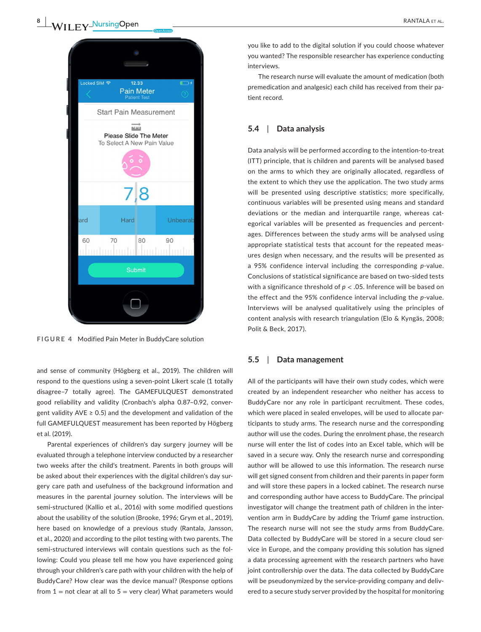

**FIGURE 4** Modified Pain Meter in BuddyCare solution

and sense of community (Högberg et al., 2019). The children will respond to the questions using a seven-point Likert scale (1 totally disagree–7 totally agree). The GAMEFULQUEST demonstrated good reliability and validity (Cronbach's alpha 0.87–0.92, convergent validity AVE  $\geq$  0.5) and the development and validation of the full GAMEFULQUEST measurement has been reported by Högberg et al. (2019).

Parental experiences of children's day surgery journey will be evaluated through a telephone interview conducted by a researcher two weeks after the child's treatment. Parents in both groups will be asked about their experiences with the digital children's day surgery care path and usefulness of the background information and measures in the parental journey solution. The interviews will be semi-structured (Kallio et al., 2016) with some modified questions about the usability of the solution (Brooke, 1996; Grym et al., 2019), here based on knowledge of a previous study (Rantala, Jansson, et al., 2020) and according to the pilot testing with two parents. The semi-structured interviews will contain questions such as the following: Could you please tell me how you have experienced going through your children's care path with your children with the help of BuddyCare? How clear was the device manual? (Response options from  $1 =$  not clear at all to  $5 =$  very clear) What parameters would

you like to add to the digital solution if you could choose whatever you wanted? The responsible researcher has experience conducting interviews.

The research nurse will evaluate the amount of medication (both premedication and analgesic) each child has received from their patient record.

## **5.4**  | **Data analysis**

Data analysis will be performed according to the intention-to-treat (ITT) principle, that is children and parents will be analysed based on the arms to which they are originally allocated, regardless of the extent to which they use the application. The two study arms will be presented using descriptive statistics; more specifically, continuous variables will be presented using means and standard deviations or the median and interquartile range, whereas categorical variables will be presented as frequencies and percentages. Differences between the study arms will be analysed using appropriate statistical tests that account for the repeated measures design when necessary, and the results will be presented as a 95% confidence interval including the corresponding *p*-value. Conclusions of statistical significance are based on two-sided tests with a significance threshold of *p* < .05. Inference will be based on the effect and the 95% confidence interval including the *p*-value. Interviews will be analysed qualitatively using the principles of content analysis with research triangulation (Elo & Kyngäs, 2008; Polit & Beck, 2017).

#### **5.5**  | **Data management**

All of the participants will have their own study codes, which were created by an independent researcher who neither has access to BuddyCare nor any role in participant recruitment. These codes, which were placed in sealed envelopes, will be used to allocate participants to study arms. The research nurse and the corresponding author will use the codes. During the enrolment phase, the research nurse will enter the list of codes into an Excel table, which will be saved in a secure way. Only the research nurse and corresponding author will be allowed to use this information. The research nurse will get signed consent from children and their parents in paper form and will store these papers in a locked cabinet. The research nurse and corresponding author have access to BuddyCare. The principal investigator will change the treatment path of children in the intervention arm in BuddyCare by adding the Triumf game instruction. The research nurse will not see the study arms from BuddyCare. Data collected by BuddyCare will be stored in a secure cloud service in Europe, and the company providing this solution has signed a data processing agreement with the research partners who have joint controllership over the data. The data collected by BuddyCare will be pseudonymized by the service-providing company and delivered to a secure study server provided by the hospital for monitoring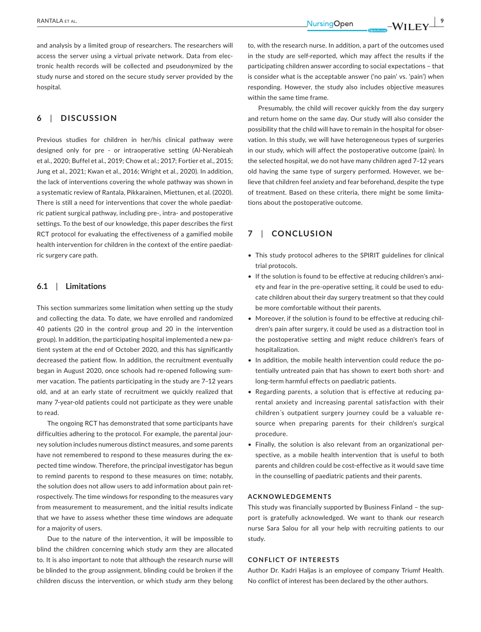and analysis by a limited group of researchers. The researchers will access the server using a virtual private network. Data from electronic health records will be collected and pseudonymized by the study nurse and stored on the secure study server provided by the hospital.

## **6**  | **DISCUSSION**

Previous studies for children in her/his clinical pathway were designed only for pre - or intraoperative setting (Al-Nerabieah et al., 2020; Buffel et al., 2019; Chow et al.; 2017; Fortier et al., 2015; Jung et al., 2021; Kwan et al., 2016; Wright et al., 2020). In addition, the lack of interventions covering the whole pathway was shown in a systematic review of Rantala, Pikkarainen, Miettunen, et al. (2020). There is still a need for interventions that cover the whole paediatric patient surgical pathway, including pre-, intra- and postoperative settings. To the best of our knowledge, this paper describes the first RCT protocol for evaluating the effectiveness of a gamified mobile health intervention for children in the context of the entire paediatric surgery care path.

## **6.1**  | **Limitations**

This section summarizes some limitation when setting up the study and collecting the data. To date, we have enrolled and randomized 40 patients (20 in the control group and 20 in the intervention group). In addition, the participating hospital implemented a new patient system at the end of October 2020, and this has significantly decreased the patient flow. In addition, the recruitment eventually began in August 2020, once schools had re-opened following summer vacation. The patients participating in the study are 7–12 years old, and at an early state of recruitment we quickly realized that many 7-year-old patients could not participate as they were unable to read.

The ongoing RCT has demonstrated that some participants have difficulties adhering to the protocol. For example, the parental journey solution includes numerous distinct measures, and some parents have not remembered to respond to these measures during the expected time window. Therefore, the principal investigator has begun to remind parents to respond to these measures on time; notably, the solution does not allow users to add information about pain retrospectively. The time windows for responding to the measures vary from measurement to measurement, and the initial results indicate that we have to assess whether these time windows are adequate for a majority of users.

Due to the nature of the intervention, it will be impossible to blind the children concerning which study arm they are allocated to. It is also important to note that although the research nurse will be blinded to the group assignment, blinding could be broken if the children discuss the intervention, or which study arm they belong

to, with the research nurse. In addition, a part of the outcomes used in the study are self-reported, which may affect the results if the participating children answer according to social expectations – that is consider what is the acceptable answer ('no pain' vs. 'pain') when responding. However, the study also includes objective measures within the same time frame.

Presumably, the child will recover quickly from the day surgery and return home on the same day. Our study will also consider the possibility that the child will have to remain in the hospital for observation. In this study, we will have heterogeneous types of surgeries in our study, which will affect the postoperative outcome (pain). In the selected hospital, we do not have many children aged 7–12 years old having the same type of surgery performed. However, we believe that children feel anxiety and fear beforehand, despite the type of treatment. Based on these criteria, there might be some limitations about the postoperative outcome.

## **7**  | **CONCLUSION**

- This study protocol adheres to the SPIRIT guidelines for clinical trial protocols.
- If the solution is found to be effective at reducing children's anxiety and fear in the pre-operative setting, it could be used to educate children about their day surgery treatment so that they could be more comfortable without their parents.
- Moreover, if the solution is found to be effective at reducing children's pain after surgery, it could be used as a distraction tool in the postoperative setting and might reduce children's fears of hospitalization.
- In addition, the mobile health intervention could reduce the potentially untreated pain that has shown to exert both short- and long-term harmful effects on paediatric patients.
- Regarding parents, a solution that is effective at reducing parental anxiety and increasing parental satisfaction with their children´s outpatient surgery journey could be a valuable resource when preparing parents for their children's surgical procedure.
- Finally, the solution is also relevant from an organizational perspective, as a mobile health intervention that is useful to both parents and children could be cost-effective as it would save time in the counselling of paediatric patients and their parents.

#### **ACKNOWLEDGEMENTS**

This study was financially supported by Business Finland – the support is gratefully acknowledged. We want to thank our research nurse Sara Salou for all your help with recruiting patients to our study.

#### **CONFLICT OF INTERESTS**

Author Dr. Kadri Haljas is an employee of company Triumf Health. No conflict of interest has been declared by the other authors.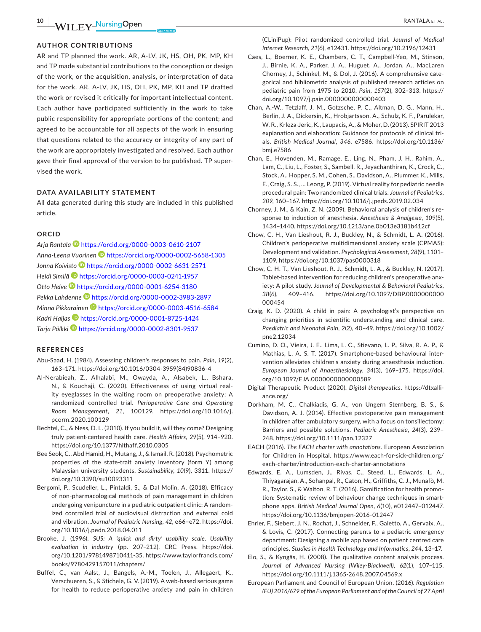**10 <sup>|</sup>**  RANTALA et al.

#### **AUTHOR CONTRIBUTIONS**

AR and TP planned the work. AR, A-LV, JK, HS, OH, PK, MP, KH and TP made substantial contributions to the conception or design of the work, or the acquisition, analysis, or interpretation of data for the work. AR, A-LV, JK, HS, OH, PK, MP, KH and TP drafted the work or revised it critically for important intellectual content. Each author have participated sufficiently in the work to take public responsibility for appropriate portions of the content; and agreed to be accountable for all aspects of the work in ensuring that questions related to the accuracy or integrity of any part of the work are appropriately investigated and resolved. Each author gave their final approval of the version to be published. TP supervised the work.

#### **DATA AVAILABILITY STATEMENT**

All data generated during this study are included in this published article.

#### **ORCID**

*Arja Rantala* <https://orcid.org/0000-0003-0610-2107> *Anna-Leena Vuorine[n](https://orcid.org/0000-0002-5658-1305)* <https://orcid.org/0000-0002-5658-1305> *Jonna Koivisto* <https://orcid.org/0000-0002-6631-2571> *Heidi Similä* <https://orcid.org/0000-0003-0241-1957> *Otto Helve* <https://orcid.org/0000-0001-6254-3180> *Pekka Lahdenne* <https://orcid.org/0000-0002-3983-2897> *Minna Pikkarainen* <https://orcid.org/0000-0003-4516-6584> *Kadri Haljas* <https://orcid.org/0000-0001-8725-1424> *Tarja Pölkki* <https://orcid.org/0000-0002-8301-9537>

#### **REFERENCES**

- Abu-Saad, H. (1984). Assessing children's responses to pain. *Pain*, *19*(2), 163–171. [https://doi.org/10.1016/0304-3959\(84\)90836-4](https://doi.org/10.1016/0304-3959(84)90836-4)
- Al-Nerabieah, Z., Alhalabi, M., Owayda, A., Alsabek, L., Bshara, N., & Kouchaji, C. (2020). Effectiveness of using virtual reality eyeglasses in the waiting room on preoperative anxiety: A randomized controlled trial. *Perioperative Care and Operating Room Management*, *21*, 100129. [https://doi.org/10.1016/j.](https://doi.org/10.1016/j.pcorm.2020.100129) [pcorm.2020.100129](https://doi.org/10.1016/j.pcorm.2020.100129)
- Bechtel, C., & Ness, D. L. (2010). If you build it, will they come? Designing truly patient-centered health care. *Health Affairs*, *29*(5), 914–920. <https://doi.org/10.1377/hlthaff.2010.0305>
- Bee Seok, C., Abd Hamid, H., Mutang, J., & Ismail, R. (2018). Psychometric properties of the state-trait anxiety inventory (form Y) among Malaysian university students. *Sustainability*, *10*(9), 3311. [https://](https://doi.org/10.3390/su10093311) [doi.org/10.3390/su10093311](https://doi.org/10.3390/su10093311)
- Bergomi, P., Scudeller, L., Pintaldi, S., & Dal Molin, A. (2018). Efficacy of non-pharmacological methods of pain management in children undergoing venipuncture in a pediatric outpatient clinic: A randomized controlled trial of audiovisual distraction and external cold and vibration. *Journal of Pediatric Nursing*, *42*, e66–e72. [https://doi.](https://doi.org/10.1016/j.pedn.2018.04.011) [org/10.1016/j.pedn.2018.04.011](https://doi.org/10.1016/j.pedn.2018.04.011)
- Brooke, J. (1996). *SUS: A 'quick and dirty' usability scale. Usability evaluation in industry* (pp. 207–212). CRC Press. [https://doi.](https://doi.org/10.1201/9781498710411-35) [org/10.1201/9781498710411-35](https://doi.org/10.1201/9781498710411-35). [https://www.taylorfrancis.com/](https://www.taylorfrancis.com/books/9780429157011/chapters/://www.taylorfrancis.com/books/9780429157011/chapters/) [books/9780429157011/chapters/](https://www.taylorfrancis.com/books/9780429157011/chapters/://www.taylorfrancis.com/books/9780429157011/chapters/)
- Buffel, C., van Aalst, J., Bangels, A.-M., Toelen, J., Allegaert, K., Verschueren, S., & Stichele, G. V. (2019). A web-based serious game for health to reduce perioperative anxiety and pain in children

(CLiniPup): Pilot randomized controlled trial. *Journal of Medical Internet Research*, *21*(6), e12431. <https://doi.org/10.2196/12431>

- Caes, L., Boerner, K. E., Chambers, C. T., Campbell-Yeo, M., Stinson, J., Birnie, K. A., Parker, J. A., Huguet, A., Jordan, A., MacLaren Chorney, J., Schinkel, M., & Dol, J. (2016). A comprehensive categorical and bibliometric analysis of published research articles on pediatric pain from 1975 to 2010. *Pain*, *157*(2), 302–313. [https://](https://doi.org/10.1097/j.pain.0000000000000403) [doi.org/10.1097/j.pain.0000000000000403](https://doi.org/10.1097/j.pain.0000000000000403)
- Chan, A.-W., Tetzlaff, J. M., Gotzsche, P. C., Altman, D. G., Mann, H., Berlin, J. A., Dickersin, K., Hrobjartsson, A., Schulz, K. F., Parulekar, W. R., Krleza-Jeric, K., Laupacis, A., & Moher, D. (2013). SPIRIT 2013 explanation and elaboration: Guidance for protocols of clinical trials. *British Medical Journal*, *346*, e7586. [https://doi.org/10.1136/](https://doi.org/10.1136/bmj.e7586) [bmj.e7586](https://doi.org/10.1136/bmj.e7586)
- Chan, E., Hovenden, M., Ramage, E., Ling, N., Pham, J. H., Rahim, A., Lam, C., Liu, L., Foster, S., Sambell, R., Jeyachanthiran, K., Crock, C., Stock, A., Hopper, S. M., Cohen, S., Davidson, A., Plummer, K., Mills, E., Craig, S. S., … Leong, P. (2019). Virtual reality for pediatric needle procedural pain: Two randomized clinical trials. *Journal of Pediatrics*, *209*, 160–167. <https://doi.org/10.1016/j.jpeds.2019.02.034>
- Chorney, J. M., & Kain, Z. N. (2009). Behavioral analysis of children's response to induction of anesthesia. *Anesthesia & Analgesia*, *109*(5), 1434–1440. <https://doi.org/10.1213/ane.0b013e3181b412cf>
- Chow, C. H., Van Lieshout, R. J., Buckley, N., & Schmidt, L. A. (2016). Children's perioperative multidimensional anxiety scale (CPMAS): Development and validation. *Psychological Assessment*, *28*(9), 1101– 1109.<https://doi.org/10.1037/pas0000318>
- Chow, C. H. T., Van Lieshout, R. J., Schmidt, L. A., & Buckley, N. (2017). Tablet-based intervention for reducing children's preoperative anxiety: A pilot study. *Journal of Developmental & Behavioral Pediatrics*, *38*(6), 409–416. [https://doi.org/10.1097/DBP.0000000000](https://doi.org/10.1097/DBP.0000000000000454) [000454](https://doi.org/10.1097/DBP.0000000000000454)
- Craig, K. D. (2020). A child in pain: A psychologist's perspective on changing priorities in scientific understanding and clinical care. *Paediatric and Neonatal Pain*, *2*(2), 40–49. [https://doi.org/10.1002/](https://doi.org/10.1002/pne2.12034) [pne2.12034](https://doi.org/10.1002/pne2.12034)
- Cumino, D. O., Vieira, J. E., Lima, L. C., Stievano, L. P., Silva, R. A. P., & Mathias, L. A. S. T. (2017). Smartphone-based behavioural intervention alleviates children's anxiety during anaesthesia induction. *European Journal of Anaesthesiology*, *34*(3), 169–175. [https://doi.](https://doi.org/10.1097/EJA.0000000000000589) [org/10.1097/EJA.0000000000000589](https://doi.org/10.1097/EJA.0000000000000589)
- Digital Therapeutic Product (2020). *Digital therapeutics*. [https://dtxalli](https://dtxalliance.org/)[ance.org/](https://dtxalliance.org/)
- Dorkham, M. C., Chalkiadis, G. A., von Ungern Sternberg, B. S., & Davidson, A. J. (2014). Effective postoperative pain management in children after ambulatory surgery, with a focus on tonsillectomy: Barriers and possible solutions. *Pediatric Anesthesia*, *24*(3), 239– 248. <https://doi.org/10.1111/pan.12327>
- EACH (2016). *The EACH charter with annotations*. European Association for Children in Hospital. [https://www.each-for-sick-children.org/](https://www.each-for-sick-children.org/each-charter/introduction-each-charter-annotations) [each-charter/introduction-each-charter-annotations](https://www.each-for-sick-children.org/each-charter/introduction-each-charter-annotations)
- Edwards, E. A., Lumsden, J., Rivas, C., Steed, L., Edwards, L. A., Thiyagarajan, A., Sohanpal, R., Caton, H., Griffiths, C. J., Munafò, M. R., Taylor, S., & Walton, R. T. (2016). Gamification for health promotion: Systematic review of behaviour change techniques in smartphone apps. *British Medical Journal Open*, *6*(10), e012447–012447. <https://doi.org/10.1136/bmjopen-2016-012447>
- Ehrler, F., Siebert, J. N., Rochat, J., Schneider, F., Galetto, A., Gervaix, A., & Lovis, C. (2017). Connecting parents to a pediatric emergency department: Designing a mobile app based on patient centred care principles. *Studies in Health Technology and Informatics*, *244*, 13–17.
- Elo, S., & Kyngäs, H. (2008). The qualitative content analysis process. *Journal of Advanced Nursing (Wiley-Blackwell)*, *62*(1), 107–115. <https://doi.org/10.1111/j.1365-2648.2007.04569.x>
- European Parliament and Council of European Union. (2016). *Regulation (EU) 2016/679 of the European Parliament and of the Council of 27 April*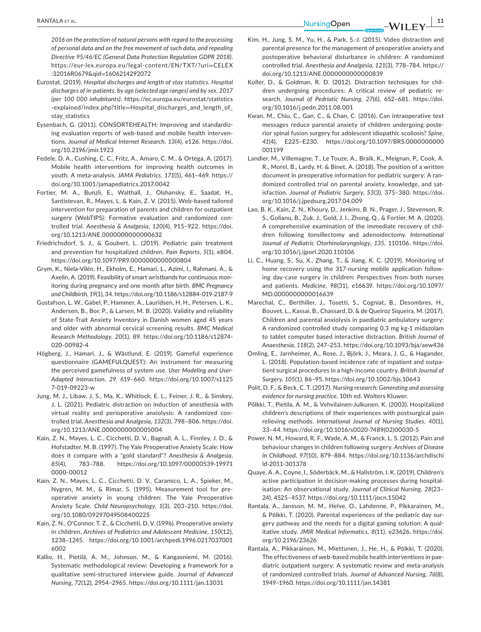*2016 on the protection of natural persons with regard to the processing of personal data and on the free movement of such data, and repealing Directive 95/46/EC (General Data Protection Regulation GDPR 2018)*. [https://eur-lex.europa.eu/legal-content/EN/TXT/?uri](https://eur-lex.europa.eu/legal-content/EN/TXT/?uri=CELEX:32016R0679&qid=1606214292072)=CELEX [:32016R0679&qid](https://eur-lex.europa.eu/legal-content/EN/TXT/?uri=CELEX:32016R0679&qid=1606214292072)=1606214292072

- Eurostat. (2019). *Hospital discharges and length of stay statistics. Hospital discharges of in-patients, by age (selected age ranges) and by sex, 2017 (per 100 000 inhabitants)*. [https://ec.europa.eu/eurostat/statistics](https://ec.europa.eu/eurostat/statistics-explained/index.php?title=Hospital_discharges_and_length_of_stay_statistics) -explained/index.php?title=[Hospital\\_discharges\\_and\\_length\\_of\\_](https://ec.europa.eu/eurostat/statistics-explained/index.php?title=Hospital_discharges_and_length_of_stay_statistics) stav statistics
- Eysenbach, G. (2011). CONSORTEHEALTH: Improving and standardizing evaluation reports of web-based and mobile health interventions. *Journal of Medical Internet Research*, *13*(4), e126. [https://doi.](https://doi.org/10.2196/jmir.1923) [org/10.2196/jmir.1923](https://doi.org/10.2196/jmir.1923)
- Fedele, D. A., Cushing, C. C., Fritz, A., Amaro, C. M., & Ortega, A. (2017). Mobile health interventions for improving health outcomes in youth: A meta-analysis. *JAMA Pediatrics*, *171*(5), 461–469. [https://](https://doi.org/10.1001/jamapediatrics.2017.0042) [doi.org/10.1001/jamapediatrics.2017.0042](https://doi.org/10.1001/jamapediatrics.2017.0042)
- Fortier, M. A., Bunzli, E., Walthall, J., Olshansky, E., Saadat, H., Santistevan, R., Mayes, L. & Kain, Z. V. (2015). Web-based tailored intervention for preparation of parents and children for outpatient surgery (WebTIPS): Formative evaluation and randomized controlled trial. *Anesthesia & Analgesia*, *120*(4), 915–922. [https://doi.](https://doi.org/10.1213/ANE.0000000000000632) [org/10.1213/ANE.0000000000000632](https://doi.org/10.1213/ANE.0000000000000632)
- Friedrichsdorf, S. J., & Goubert, L. (2019). Pediatric pain treatment and prevention for hospitalized children. *Pain Reports*, *5*(1), e804. <https://doi.org/10.1097/PR9.0000000000000804>
- Grym, K., Niela-Vilén, H., Ekholm, E., Hamari, L., Azimi, I., Rahmani, A., & Axelin, A. (2019). Feasibility of smart wristbands for continuous monitoring during pregnancy and one month after birth. *BMC Pregnancy and Childbirth*, *19*(1), 34.<https://doi.org/10.1186/s12884-019-2187-9>
- Gustafson, L. W., Gabel, P., Hammer, A., Lauridsen, H. H., Petersen, L. K., Andersen, B., Bor, P., & Larsen, M. B. (2020). Validity and reliability of State-Trait Anxiety Inventory in Danish women aged 45 years and older with abnormal cervical screening results. *BMC Medical Research Methodology*, *20*(1), 89. [https://doi.org/10.1186/s12874-](https://doi.org/10.1186/s12874-020-00982-4) [020-00982-4](https://doi.org/10.1186/s12874-020-00982-4)
- Högberg, J., Hamari, J., & Wästlund, E. (2019). Gameful experience questionnaire (GAMEFULQUEST): An instrument for measuring the perceived gamefulness of system use. *User Modeling and User-Adapted Interaction*, *29*, 619–660. [https://doi.org/10.1007/s1125](https://doi.org/10.1007/s11257-019-09223-w) [7-019-09223-w](https://doi.org/10.1007/s11257-019-09223-w)
- Jung, M. J., Libaw, J. S., Ma, K., Whitlock, E. L., Feiner, J. R., & Sinskey, J. L. (2021). Pediatric distraction on induction of anesthesia with virtual reality and perioperative anxiolysis: A randomized controlled trial. *Anesthesia and Analgesia*, *132*(3), 798–806. [https://doi.](https://doi.org/10.1213/ANE.0000000000005004) [org/10.1213/ANE.0000000000005004](https://doi.org/10.1213/ANE.0000000000005004)
- Kain, Z. N., Mayes, L. C., Cicchetti, D. V., Bagnall, A. L., Finnley, J. D., & Hofstadter, M. B. (1997). The Yale Preoperative Anxiety Scale: How does it compare with a "gold standard"? *Anesthesia & Analgesia*, *85*(4), 783–788. [https://doi.org/10.1097/00000539-19971](https://doi.org/10.1097/00000539-199710000-00012) [0000-00012](https://doi.org/10.1097/00000539-199710000-00012)
- Kain, Z. N., Mayes, L. C., Cicchetti, D. V., Caramico, L. A., Spieker, M., Nygren, M. M., & Rimar, S. (1995). Measurement tool for preoperative anxiety in young children: The Yale Preoperative Anxiety Scale. *Child Neuropsychology*, *1*(3), 203–210. [https://doi.](https://doi.org/10.1080/09297049508400225) [org/10.1080/09297049508400225](https://doi.org/10.1080/09297049508400225)
- Kain, Z. N., O'Connor, T. Z., & Cicchetti, D. V. (1996). Preoperative anxiety in children. *Archives of Pediatrics and Adolescent Medicine*, *150*(12), 1238–1245. [https://doi.org/10.1001/archpedi.1996.0217037001](https://doi.org/10.1001/archpedi.1996.02170370016002) [6002](https://doi.org/10.1001/archpedi.1996.02170370016002)
- Kallio, H., Pietilä, A. M., Johnson, M., & Kangasniemi, M. (2016). Systematic methodological review: Developing a framework for a qualitative semi-structured interview guide. *Journal of Advanced Nursing*, *72*(12), 2954–2965. <https://doi.org/10.1111/jan.13031>
- Kim, H., Jung, S. M., Yu, H., & Park, S.-J. (2015). Video distraction and parental presence for the management of preoperative anxiety and postoperative behavioral disturbance in children: A randomized controlled trial. *Anesthesia and Analgesia*, *121*(3), 778–784. [https://](https://doi.org/10.1213/ANE.0000000000000839) [doi.org/10.1213/ANE.0000000000000839](https://doi.org/10.1213/ANE.0000000000000839)
- Koller, D., & Goldman, R. D. (2012). Distraction techniques for children undergoing procedures: A critical review of pediatric research. *Journal of Pedriatic Nursing*, *27*(6), 652–681. [https://doi.](https://doi.org/10.1016/j.pedn.2011.08.001) [org/10.1016/j.pedn.2011.08.001](https://doi.org/10.1016/j.pedn.2011.08.001)
- Kwan, M., Chiu, C., Gan, C., & Chan, C. (2016). Can intraoperative text messages reduce parental anxiety of children undergoing posterior spinal fusion surgery for adolescent idiopathic scoliosis? *Spine*, *41*(4), E225–E230. [https://doi.org/10.1097/BRS.0000000000](https://doi.org/10.1097/BRS.0000000000001199) [001199](https://doi.org/10.1097/BRS.0000000000001199)
- Landier, M., Villemagne, T., Le Touze, A., Braïk, K., Meignan, P., Cook, A. R., Morel, B., Lardy, H. & Binet, A. (2018). The position of a written document in preoperative information for pediatric surgery: A randomized controlled trial on parental anxiety, knowledge, and satisfaction. *Journal of Pediatric Surgery*, *53*(3), 375–380. [https://doi.](https://doi.org/10.1016/j.jpedsurg.2017.04.009) [org/10.1016/j.jpedsurg.2017.04.009](https://doi.org/10.1016/j.jpedsurg.2017.04.009)
- Lao, B. K., Kain, Z. N., Khoury, D., Jenkins, B. N., Prager, J., Stevenson, R. S., Golianu, B., Zuk, J., Gold, J. I., Zhong, Q., & Fortier, M. A. (2020). A comprehensive examination of the immediate recovery of children following tonsillectomy and adenoidectomy. *International Journal of Pediatric Otorhinolaryngology*, *135*, 110106. [https://doi.](https://doi.org/10.1016/j.ijporl.2020.110106) [org/10.1016/j.ijporl.2020.110106](https://doi.org/10.1016/j.ijporl.2020.110106)
- Li, C., Huang, S., Su, X., Zhang, T., & Jiang, K. C. (2019). Monitoring of home recovery using the 317-nursing mobile application following day-case surgery in children: Perspectives from both nurses and patients. *Medicine*, *98*(31), e16639. [https://doi.org/10.1097/](https://doi.org/10.1097/MD.0000000000016639) [MD.0000000000016639](https://doi.org/10.1097/MD.0000000000016639)
- Marechal, C., Berthiller, J., Tosetti, S., Cogniat, B., Desombres, H., Bouvet, L., Kassai, B., Chassard, D. & de Queiroz Siqueira, M. (2017). Children and parental anxiolysis in paediatric ambulatory surgery: A randomized controlled study comparing 0.3 mg kg-1 midazolam to tablet computer based interactive distraction. *British Journal of Anaesthesia*, *118*(2), 247–253. <https://doi.org/10.1093/bja/aew436>
- Omling, E., Jarnheimer, A., Rose, J., Björk, J., Meara, J. G., & Hagander, L. (2018). Population-based incidence rate of inpatient and outpatient surgical procedures in a high-income country. *British Journal of Surgery*, *105*(1), 86–95. <https://doi.org/10.1002/bjs.10643>
- Polit, D. F., & Beck, C. T. (2017). *Nursing research: Generating and assessing evidence for nursing practice*, 10th ed. Wolters Kluwer.
- Pölkki, T., Pietila, A. M., & Vehvilainen-Julkunen, K. (2003). Hospitalized children's descriptions of their experiences with postsurgical pain relieving methods. *International Journal of Nursing Studies*, *40*(1), 33–44. [https://doi.org/10.1016/s0020-7489\(02\)00030-5](https://doi.org/10.1016/s0020-7489(02)00030-5)
- Power, N. M., Howard, R. F., Wade, A. M., & Franck, L. S. (2012). Pain and behaviour changes in children following surgery. *Archives of Disease in Childhood*, *97*(10), 879–884. [https://doi.org/10.1136/archdischi](https://doi.org/10.1136/archdischild-2011-301378) [ld-2011-301378](https://doi.org/10.1136/archdischild-2011-301378)
- Quaye, A. A., Coyne, I., Söderbäck, M., & Hallström, I. K. (2019). Children's active participation in decision-making processes during hospitalisation: An observational study. *Journal of Clinical Nursing*, *28*(23– 24), 4525–4537.<https://doi.org/10.1111/jocn.15042>
- Rantala, A., Jansson, M. M., Helve, O., Lahdenne, P., Pikkarainen, M., & Pölkki, T. (2020). Parental experiences of the pediatric day surgery pathway and the needs for a digital gaming solution: A qualitative study. *JMIR Medical Informatics*, *8*(11), e23626. [https://doi.](https://doi.org/10.2196/23626) [org/10.2196/23626](https://doi.org/10.2196/23626)
- Rantala, A., Pikkarainen, M., Miettunen, J., He, H., & Pölkki, T. (2020). The effectiveness of web-based mobile health interventions in paediatric outpatient surgery: A systematic review and meta-analysis of randomized controlled trials. *Journal of Advanced Nursing*, *76*(8), 1949–1960. <https://doi.org/10.1111/jan.14381>